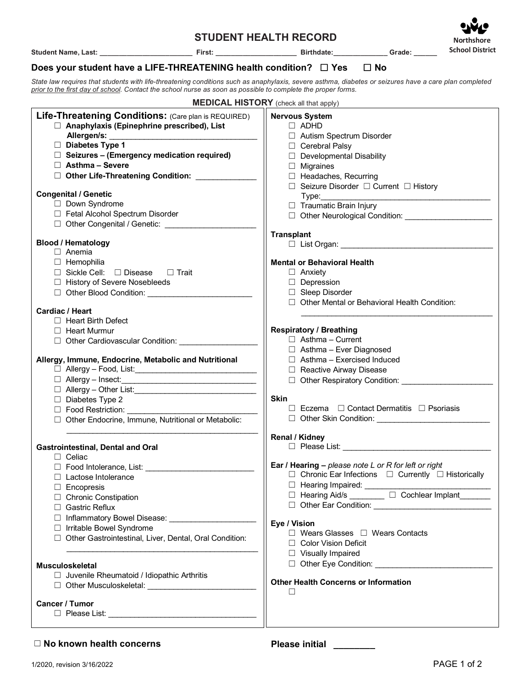## **STUDENT HEALTH RECORD**

**Student Name, Last: \_\_\_\_\_\_\_\_\_\_\_\_\_\_\_\_\_\_\_\_\_\_\_\_ First: \_\_\_\_\_\_\_\_\_\_\_\_\_\_\_\_\_\_\_\_\_ Birthdate:\_\_\_\_\_\_\_\_\_\_\_\_\_\_ Grade: \_\_\_\_\_\_**

 **Northshore School District**

## **Does your student have a LIFE-THREATENING health condition?** ☐ **Yes** ☐ **No**

*State law requires that students with life-threatening conditions such as anaphylaxis, severe asthma, diabetes or seizures have a care plan completed prior to the first day of school. Contact the school nurse as soon as possible to complete the proper forms.*

|                                                                                                                                                                                                                                                                                                                                                                                                                                                                                            | <b>MEDICAL HISTORY</b> (check all that apply)                                                                                                                                                                                                                                                                                                                                                                                                                                |
|--------------------------------------------------------------------------------------------------------------------------------------------------------------------------------------------------------------------------------------------------------------------------------------------------------------------------------------------------------------------------------------------------------------------------------------------------------------------------------------------|------------------------------------------------------------------------------------------------------------------------------------------------------------------------------------------------------------------------------------------------------------------------------------------------------------------------------------------------------------------------------------------------------------------------------------------------------------------------------|
| Life-Threatening Conditions: (Care plan is REQUIRED)<br>$\Box$ Anaphylaxis (Epinephrine prescribed), List<br>$\Box$ Diabetes Type 1<br>$\Box$ Seizures - (Emergency medication required)<br>$\Box$ Asthma - Severe<br>□ Other Life-Threatening Condition: ___________                                                                                                                                                                                                                      | <b>Nervous System</b><br>$\Box$ ADHD<br>□ Autism Spectrum Disorder<br>□ Cerebral Palsy<br>$\Box$ Developmental Disability<br>$\Box$ Migraines<br>$\Box$ Headaches, Recurring<br>□ Seizure Disorder □ Current □ History                                                                                                                                                                                                                                                       |
| <b>Congenital / Genetic</b><br>Down Syndrome<br>Fetal Alcohol Spectrum Disorder                                                                                                                                                                                                                                                                                                                                                                                                            | Type:<br>$\Box$ Traumatic Brain Injury                                                                                                                                                                                                                                                                                                                                                                                                                                       |
| <b>Blood / Hematology</b><br>$\Box$ Anemia<br>$\Box$ Hemophilia<br>$\Box$ Sickle Cell: $\Box$ Disease<br>□ Trait<br>□ History of Severe Nosebleeds<br>□ Other Blood Condition:<br><b>Cardiac / Heart</b><br>$\Box$ Heart Birth Defect<br>$\Box$ Heart Murmur<br>□ Other Cardiovascular Condition: _________________<br>Allergy, Immune, Endocrine, Metabolic and Nutritional<br>$\Box$ Diabetes Type 2<br>$\Box$ Food Restriction:<br>□ Other Endocrine, Immune, Nutritional or Metabolic: | <b>Transplant</b><br><b>Mental or Behavioral Health</b><br>$\Box$ Anxiety<br>$\Box$ Depression<br>□ Sleep Disorder<br>□ Other Mental or Behavioral Health Condition:<br><b>Respiratory / Breathing</b><br>$\Box$ Asthma - Current<br>$\Box$ Asthma - Ever Diagnosed<br>$\Box$ Asthma - Exercised Induced<br>Reactive Airway Disease<br>□ Other Respiratory Condition:<br><b>Skin</b><br>$\Box$ Eczema $\Box$ Contact Dermatitis $\Box$ Psoriasis                             |
| <b>Gastrointestinal, Dental and Oral</b><br>$\Box$ Celiac<br>$\Box$ Food Intolerance, List:<br>$\Box$ Lactose Intolerance<br>$\Box$ Encopresis<br>□ Chronic Constipation<br>□ Gastric Reflux<br>□ Inflammatory Bowel Disease: __________________<br>□ Irritable Bowel Syndrome<br>□ Other Gastrointestinal, Liver, Dental, Oral Condition:<br><b>Musculoskeletal</b><br>$\Box$ Juvenile Rheumatoid / Idiopathic Arthritis<br>Other Musculoskeletal: ________________<br>Cancer / Tumor     | <b>Renal / Kidney</b><br>Ear / Hearing $-$ please note L or R for left or right<br>$\Box$ Chronic Ear Infections $\Box$ Currently $\Box$ Historically<br>D Hearing Impaired: _______________<br>□ Hearing Aid/s <u>University</u> D Cochlear Implant<br>Eye / Vision<br>$\Box$ Wears Glasses $\Box$ Wears Contacts<br>□ Color Vision Deficit<br>□ Visually Impaired<br>Other Eye Condition: Contract Property Condition:<br><b>Other Health Concerns or Information</b><br>П |

## ☐ **No known health concerns Please initial \_\_\_\_\_\_\_\_**